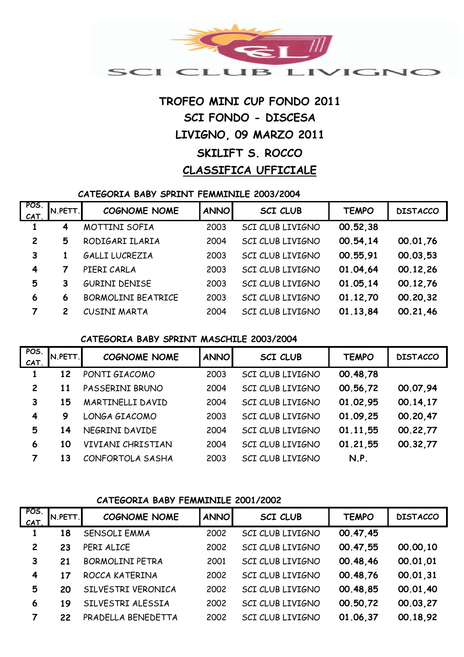

# **LIVIGNO, 09 MARZO 2011 SKILIFT S. ROCCO CLASSIFICA UFFICIALE TROFEO MINI CUP FONDO 2011 SCI FONDO - DISCESA**

#### **CATEGORIA BABY SPRINT FEMMINILE 2003/2004**

| POS.<br>CAT    | N.PETT.        | <b>COGNOME NOME</b>       | <b>ANNO</b> | <b>SCI CLUB</b>  | <b>TEMPO</b> | <b>DISTACCO</b> |
|----------------|----------------|---------------------------|-------------|------------------|--------------|-----------------|
|                | 4              | MOTTINI SOFIA             | 2003        | SCI CLUB LIVIGNO | 00.52,38     |                 |
| $\overline{2}$ | 5              | RODIGARI ILARIA           | 2004        | SCI CLUB LIVIGNO | 00.54,14     | 00.01.76        |
| 3              |                | GALLI LUCREZIA            | 2003        | SCI CLUB LIVIGNO | 00.55,91     | 00.03,53        |
| $\overline{4}$ |                | PIERI CARLA               | 2003        | SCI CLUB LIVIGNO | 01.04.64     | 00.12,26        |
| 5              | 3              | <b>GURINI DENISE</b>      | 2003        | SCI CLUB LIVIGNO | 01.05.14     | 00.12,76        |
| 6              | 6              | <b>BORMOLINI BEATRICE</b> | 2003        | SCI CLUB LIVIGNO | 01.12,70     | 00.20,32        |
| 7              | $\overline{c}$ | CUSINI MARTA              | 2004        | SCI CLUB LIVIGNO | 01.13,84     | 00.21,46        |

## **CATEGORIA BABY SPRINT MASCHILE 2003/2004**

| POS.<br>CAT.   | N.PETT. | <b>COGNOME NOME</b> | <b>ANNO</b> | <b>SCI CLUB</b>  | <b>TEMPO</b> | <b>DISTACCO</b> |
|----------------|---------|---------------------|-------------|------------------|--------------|-----------------|
|                | 12      | PONTI GIACOMO       | 2003        | SCI CLUB LIVIGNO | 00.48,78     |                 |
| $\overline{c}$ | 11      | PASSERINI BRUNO     | 2004        | SCI CLUB LIVIGNO | 00.56,72     | 00.07,94        |
| 3              | 15      | MARTINELLI DAVID    | 2004        | SCI CLUB LIVIGNO | 01.02,95     | 00.14,17        |
| $\overline{4}$ | 9       | LONGA GIACOMO       | 2003        | SCI CLUB LIVIGNO | 01.09.25     | 00.20,47        |
| 5              | 14      | NEGRINI DAVIDE      | 2004        | SCI CLUB LIVIGNO | 01.11,55     | 00.22,77        |
| 6              | 10      | VIVIANI CHRISTIAN   | 2004        | SCI CLUB LIVIGNO | 01.21.55     | 00.32,77        |
| 7              | 13      | CONFORTOLA SASHA    | 2003        | SCI CLUB LIVIGNO | N.P.         |                 |

#### **CATEGORIA BABY FEMMINILE 2001/2002**

| POS.<br>CAT    | N.PETT. | <b>COGNOME NOME</b>    | <b>ANNO</b> | <b>SCI CLUB</b>  | <b>TEMPO</b> | <b>DISTACCO</b> |
|----------------|---------|------------------------|-------------|------------------|--------------|-----------------|
|                | 18      | <b>SENSOLI EMMA</b>    | 2002        | SCI CLUB LIVIGNO | 00.47,45     |                 |
| $\overline{c}$ | 23      | PERI ALICE             | 2002        | SCI CLUB LIVIGNO | 00.47,55     | 00.00,10        |
| 3              | 21      | <b>BORMOLINI PETRA</b> | 2001        | SCI CLUB LIVIGNO | 00.48,46     | 00.01.01        |
| 4              | 17      | ROCCA KATERINA         | 2002        | SCI CLUB LIVIGNO | 00.48,76     | 00.01,31        |
| 5              | 20      | SILVESTRI VERONICA     | 2002        | SCI CLUB LIVIGNO | 00.48,85     | 00.01.40        |
| 6              | 19      | SILVESTRI ALESSIA      | 2002        | SCI CLUB LIVIGNO | 00.50,72     | 00.03,27        |
| 7              | 22      | PRADELLA BENEDETTA     | 2002        | SCI CLUB LIVIGNO | 01.06.37     | 00.18,92        |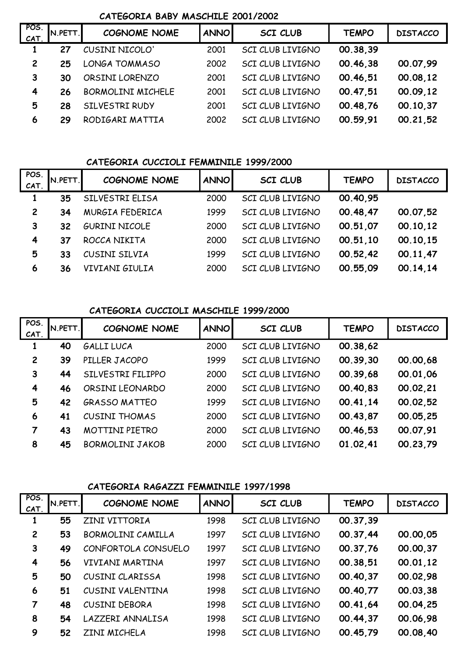#### **CATEGORIA BABY MASCHILE 2001/2002**

| POS.<br>CAT    | N.PETT. | <b>COGNOME NOME</b>      | <b>ANNO</b> | <b>SCI CLUB</b>  | <b>TEMPO</b> | <b>DISTACCO</b> |
|----------------|---------|--------------------------|-------------|------------------|--------------|-----------------|
|                | 27      | CUSINI NICOLO'           | 2001        | SCI CLUB LIVIGNO | 00.38,39     |                 |
| $\overline{c}$ | 25      | <b>LONGA TOMMASO</b>     | 2002        | SCI CLUB LIVIGNO | 00.46,38     | 00.07,99        |
| 3              | 30      | ORSINI LORENZO           | 2001        | SCI CLUB LIVIGNO | 00.46,51     | 00.08,12        |
| 4              | 26      | <b>BORMOLINI MICHELE</b> | 2001        | SCI CLUB LIVIGNO | 00.47,51     | 00.09,12        |
| 5              | 28      | SILVESTRI RUDY           | 2001        | SCI CLUB LIVIGNO | 00.48,76     | 00.10.37        |
| 6              | 29      | RODIGARI MATTIA          | 2002        | SCI CLUB LIVIGNO | 00.59,91     | 00.21,52        |

# **CATEGORIA CUCCIOLI FEMMINILE 1999/2000**

| POS.<br>CAT.   | N.PETT. | <b>COGNOME NOME</b>  | <b>ANNO</b> | <b>SCI CLUB</b>         | <b>TEMPO</b> | <b>DISTACCO</b> |
|----------------|---------|----------------------|-------------|-------------------------|--------------|-----------------|
|                | 35      | SILVESTRI ELISA      | 2000        | SCI CLUB LIVIGNO        | 00.40,95     |                 |
| $\overline{2}$ | 34      | MURGIA FEDERICA      | 1999        | SCI CLUB LIVIGNO        | 00.48,47     | 00.07,52        |
| 3              | 32      | <b>GURINI NICOLE</b> | 2000        | <b>SCI CLUB LIVIGNO</b> | 00.51.07     | 00.10.12        |
| 4              | 37      | ROCCA NIKITA         | 2000        | SCI CLUB LIVIGNO        | 00.51.10     | 00.10.15        |
| 5              | 33      | CUSINI SILVIA        | 1999        | SCI CLUB LIVIGNO        | 00.52,42     | 00.11.47        |
| 6              | 36      | VIVIANI GIULIA       | 2000        | SCI CLUB LIVIGNO        | 00.55,09     | 00.14.14        |
|                |         |                      |             |                         |              |                 |

#### **CATEGORIA CUCCIOLI MASCHILE 1999/2000**

| POS.<br>CAT.   | N.PETT. | <b>COGNOME NOME</b>    | <b>ANNO</b> | <b>SCI CLUB</b>  | <b>TEMPO</b> | <b>DISTACCO</b> |
|----------------|---------|------------------------|-------------|------------------|--------------|-----------------|
|                | 40      | <b>GALLI LUCA</b>      | 2000        | SCI CLUB LIVIGNO | 00.38,62     |                 |
| $\overline{c}$ | 39      | PILLER JACOPO          | 1999        | SCI CLUB LIVIGNO | 00.39,30     | 00.00,68        |
| 3              | 44      | SILVESTRI FILIPPO      | 2000        | SCI CLUB LIVIGNO | 00.39,68     | 00.01,06        |
| 4              | 46      | ORSINI LEONARDO        | 2000        | SCI CLUB LIVIGNO | 00.40,83     | 00.02,21        |
| 5              | 42      | <b>GRASSO MATTEO</b>   | 1999        | SCI CLUB LIVIGNO | 00.41,14     | 00.02,52        |
| 6              | 41      | <b>CUSINI THOMAS</b>   | 2000        | SCI CLUB LIVIGNO | 00.43,87     | 00.05,25        |
| $\overline{7}$ | 43      | <b>MOTTINI PIETRO</b>  | 2000        | SCI CLUB LIVIGNO | 00.46,53     | 00.07,91        |
| 8              | 45      | <b>BORMOLINI JAKOB</b> | 2000        | SCI CLUB LIVIGNO | 01.02,41     | 00.23,79        |

#### **CATEGORIA RAGAZZI FEMMINILE 1997/1998**

| POS.<br>CAT.   | N.PETT. | <b>COGNOME NOME</b>  | <b>ANNO</b> | <b>SCI CLUB</b>  | <b>TEMPO</b> | <b>DISTACCO</b> |
|----------------|---------|----------------------|-------------|------------------|--------------|-----------------|
| 1              | 55      | ZINI VITTORIA        | 1998        | SCI CLUB LIVIGNO | 00.37,39     |                 |
| $\overline{c}$ | 53      | BORMOLINI CAMILLA    | 1997        | SCI CLUB LIVIGNO | 00.37,44     | 00.00,05        |
| 3              | 49      | CONFORTOLA CONSUELO  | 1997        | SCI CLUB LIVIGNO | 00.37,76     | 00.00,37        |
| 4              | 56      | VIVIANI MARTINA      | 1997        | SCI CLUB LIVIGNO | 00.38,51     | 00.01.12        |
| 5              | 50      | CUSINI CLARISSA      | 1998        | SCI CLUB LIVIGNO | 00.40,37     | 00.02,98        |
| 6              | 51      | CUSINI VALENTINA     | 1998        | SCI CLUB LIVIGNO | 00.40,77     | 00.03,38        |
| 7              | 48      | <b>CUSINI DEBORA</b> | 1998        | SCI CLUB LIVIGNO | 00.41,64     | 00.04,25        |
| 8              | 54      | LAZZERI ANNALISA     | 1998        | SCI CLUB LIVIGNO | 00.44,37     | 00.06,98        |
| 9              | 52      | ZINI MICHELA         | 1998        | SCI CLUB LIVIGNO | 00.45,79     | 00.08,40        |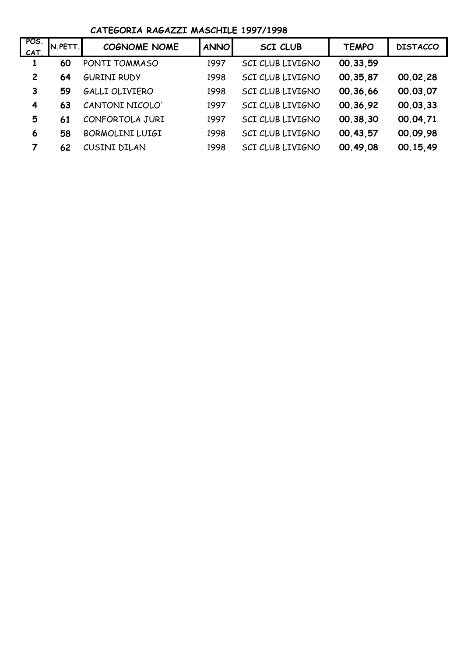### **CATEGORIA RAGAZZI MASCHILE 1997/1998**

| POS.<br>CAT.   | N.PETT. | <b>COGNOME NOME</b>    | <b>ANNO</b> | <b>SCI CLUB</b>  | <b>TEMPO</b> | <b>DISTACCO</b> |
|----------------|---------|------------------------|-------------|------------------|--------------|-----------------|
|                | 60      | PONTI TOMMASO          | 1997        | SCI CLUB LIVIGNO | 00.33,59     |                 |
| $\overline{c}$ | 64      | <b>GURINI RUDY</b>     | 1998        | SCI CLUB LIVIGNO | 00.35,87     | 00.02,28        |
| 3              | 59      | GALLI OLIVIERO         | 1998        | SCI CLUB LIVIGNO | 00.36.66     | 00.03,07        |
| 4              | 63      | CANTONI NICOLO'        | 1997        | SCI CLUB LIVIGNO | 00.36,92     | 00.03,33        |
| 5              | 61      | CONFORTOLA JURI        | 1997        | SCI CLUB LIVIGNO | 00.38,30     | 00.04,71        |
| 6              | 58      | <b>BORMOLINI LUIGI</b> | 1998        | SCI CLUB LIVIGNO | 00.43,57     | 00.09.98        |
| 7              | 62      | CUSINI DILAN           | 1998        | SCI CLUB LIVIGNO | 00.49.08     | 00.15,49        |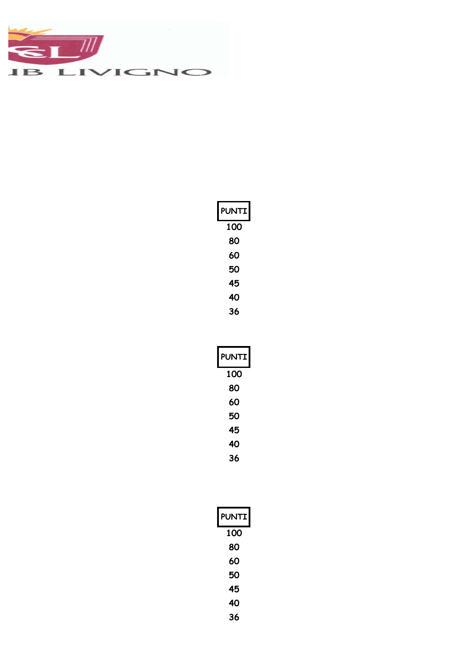

| <b>PUNTI</b> |
|--------------|
| 100          |
| 80           |
| 60           |
| 50           |
| 45           |
| 40           |
| 36           |

| <b>PUNTI</b> |
|--------------|
| 100          |
| 80           |
| 60           |
| 50           |
| 45           |
| 40           |
| 36           |

| <b>PUNTI</b> |
|--------------|
| 100          |
| 80           |
| 60           |
| 50           |
| 45           |
| 40           |
| 36           |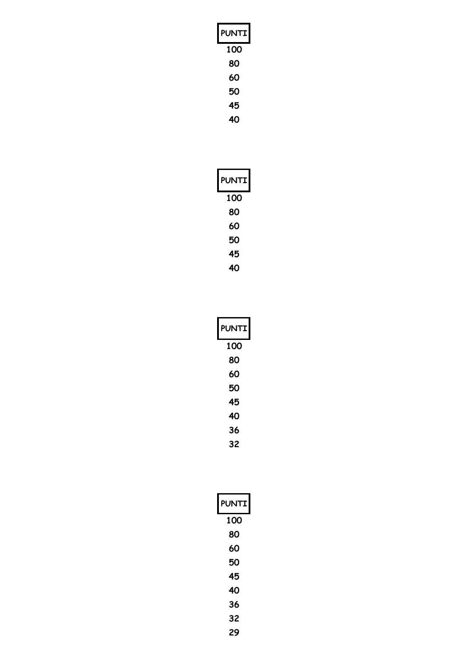| PUNTI |
|-------|
| 100   |
| 80    |
| 60    |
| 50    |
| 45    |

| <b>PUNTI</b> |
|--------------|
| 100          |
| 80           |
| 60           |
| 50           |
| 45           |
| 40           |

| <b>PUNTI</b> |
|--------------|
| 100          |
| 80           |
| 60           |
| 50           |
| 45           |
| 40           |
| 36           |
| 32           |

| <b>PUNTI</b> |
|--------------|
| 100          |
| 80           |
| 60           |
| 50           |
| 45           |
| 40           |
| 36           |
| 32           |
| 29           |